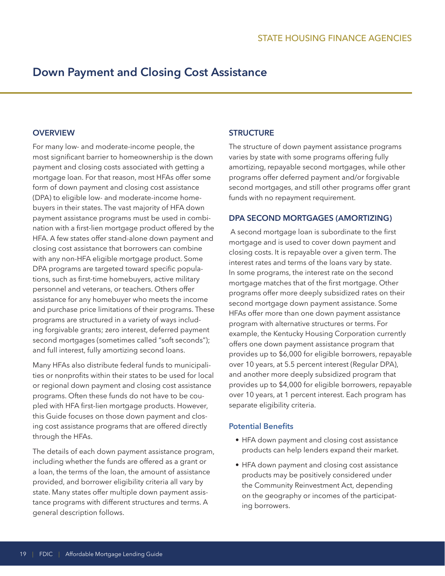# **Down Payment and Closing Cost Assistance**

#### **OVERVIEW**

For many low- and moderate-income people, the most significant barrier to homeownership is the down payment and closing costs associated with getting a mortgage loan. For that reason, most HFAs offer some form of down payment and closing cost assistance (DPA) to eligible low- and moderate-income homebuyers in their states. The vast majority of HFA down payment assistance programs must be used in combination with a first-lien mortgage product offered by the HFA. A few states offer stand-alone down payment and closing cost assistance that borrowers can combine with any non-HFA eligible mortgage product. Some DPA programs are targeted toward specific populations, such as first-time homebuyers, active military personnel and veterans, or teachers. Others offer assistance for any homebuyer who meets the income and purchase price limitations of their programs. These programs are structured in a variety of ways including forgivable grants; zero interest, deferred payment second mortgages (sometimes called "soft seconds"); and full interest, fully amortizing second loans.

Many HFAs also distribute federal funds to municipalities or nonprofits within their states to be used for local or regional down payment and closing cost assistance programs. Often these funds do not have to be coupled with HFA first-lien mortgage products. However, this Guide focuses on those down payment and closing cost assistance programs that are offered directly through the HFAs.

 tance programs with different structures and terms. A The details of each down payment assistance program, including whether the funds are offered as a grant or a loan, the terms of the loan, the amount of assistance provided, and borrower eligibility criteria all vary by state. Many states offer multiple down payment assisgeneral description follows.

## **STRUCTURE**

The structure of down payment assistance programs varies by state with some programs offering fully amortizing, repayable second mortgages, while other programs offer deferred payment and/or forgivable second mortgages, and still other programs offer grant funds with no repayment requirement.

## **DPA SECOND MORTGAGES (AMORTIZING)**

A second mortgage loan is subordinate to the first mortgage and is used to cover down payment and closing costs. It is repayable over a given term. The interest rates and terms of the loans vary by state. In some programs, the interest rate on the second mortgage matches that of the first mortgage. Other programs offer more deeply subsidized rates on their second mortgage down payment assistance. Some HFAs offer more than one down payment assistance program with alternative structures or terms. For example, the Kentucky Housing Corporation currently offers one down payment assistance program that provides up to \$6,000 for eligible borrowers, repayable over 10 years, at 5.5 percent interest (Regular DPA), and another more deeply subsidized program that provides up to \$4,000 for eligible borrowers, repayable over 10 years, at 1 percent interest. Each program has separate eligibility criteria.

#### **Potential Benefits**

- HFA down payment and closing cost assistance products can help lenders expand their market.
- HFA down payment and closing cost assistance products may be positively considered under the Community Reinvestment Act, depending on the geography or incomes of the participating borrowers.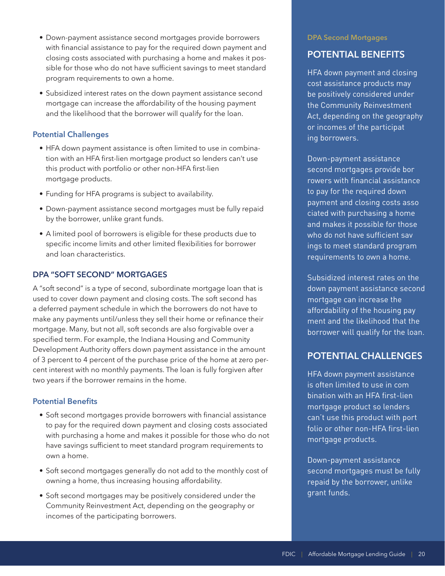- Down-payment assistance second mortgages provide borrowers with financial assistance to pay for the required down payment and closing costs associated with purchasing a home and makes it possible for those who do not have sufficient savings to meet standard program requirements to own a home.
- Subsidized interest rates on the down payment assistance second mortgage can increase the affordability of the housing payment and the likelihood that the borrower will qualify for the loan.

## **Potential Challenges**

- HFA down payment assistance is often limited to use in combination with an HFA first-lien mortgage product so lenders can't use this product with portfolio or other non-HFA first-lien mortgage products.
- Funding for HFA programs is subject to availability.
- Down-payment assistance second mortgages must be fully repaid by the borrower, unlike grant funds.
- A limited pool of borrowers is eligible for these products due to specific income limits and other limited flexibilities for borrower and loan characteristics.

## **DPA "SOFT SECOND" MORTGAGES**

A "soft second" is a type of second, subordinate mortgage loan that is used to cover down payment and closing costs. The soft second has a deferred payment schedule in which the borrowers do not have to make any payments until/unless they sell their home or refinance their mortgage. Many, but not all, soft seconds are also forgivable over a specified term. For example, the Indiana Housing and Community Development Authority offers down payment assistance in the amount of 3 percent to 4 percent of the purchase price of the home at zero percent interest with no monthly payments. The loan is fully forgiven after two years if the borrower remains in the home.

## **Potential Benefits**

- Soft second mortgages provide borrowers with financial assistance to pay for the required down payment and closing costs associated with purchasing a home and makes it possible for those who do not have savings sufficient to meet standard program requirements to own a home.
- Soft second mortgages generally do not add to the monthly cost of owning a home, thus increasing housing affordability.
- Soft second mortgages may be positively considered under the Community Reinvestment Act, depending on the geography or incomes of the participating borrowers.

#### **DPA Second Mortgages**

## **POTENTIAL BENEFITS**

or incomes of the participat<br>ing borrowers. HFA down payment and closing cost assistance products may be positively considered under the Community Reinvestment Act, depending on the geography

second mortgages provide bor - payment and closing costs asso ciated with purchasing a home who do not have sufficient sav Down-payment assistance rowers with financial assistance to pay for the required down and makes it possible for those ings to meet standard program requirements to own a home.

affordability of the housing pay Subsidized interest rates on the down payment assistance second mortgage can increase the ment and the likelihood that the borrower will qualify for the loan.

# **POTENTIAL CHALLENGES**

is often limited to use in com - can't use this product with port HFA down payment assistance bination with an HFA first-lien mortgage product so lenders folio or other non-HFA first-lien mortgage products.

Down-payment assistance second mortgages must be fully repaid by the borrower, unlike grant funds.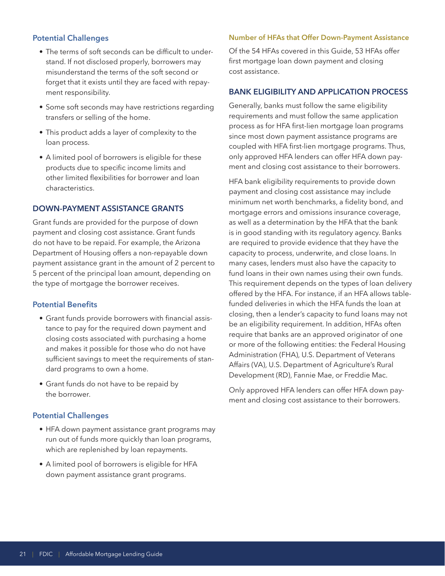## **Potential Challenges**

- The terms of soft seconds can be difficult to understand. If not disclosed properly, borrowers may misunderstand the terms of the soft second or forget that it exists until they are faced with repayment responsibility.
- Some soft seconds may have restrictions regarding transfers or selling of the home.
- This product adds a layer of complexity to the loan process.
- A limited pool of borrowers is eligible for these products due to specific income limits and other limited flexibilities for borrower and loan characteristics.

## **DOWN-PAYMENT ASSISTANCE GRANTS**

Grant funds are provided for the purpose of down payment and closing cost assistance. Grant funds do not have to be repaid. For example, the Arizona Department of Housing offers a non-repayable down payment assistance grant in the amount of 2 percent to 5 percent of the principal loan amount, depending on the type of mortgage the borrower receives.

#### **Potential Benefits**

- Grant funds provide borrowers with financial assistance to pay for the required down payment and closing costs associated with purchasing a home and makes it possible for those who do not have sufficient savings to meet the requirements of standard programs to own a home.
- Grant funds do not have to be repaid by the borrower.

## **Potential Challenges**

- HFA down payment assistance grant programs may run out of funds more quickly than loan programs, which are replenished by loan repayments.
- A limited pool of borrowers is eligible for HFA down payment assistance grant programs.

#### **Number of HFAs that Offer Down-Payment Assistance**

Of the 54 HFAs covered in this Guide, 53 HFAs offer first mortgage loan down payment and closing cost assistance.

#### **BANK ELIGIBILITY AND APPLICATION PROCESS**

 coupled with HFA first-lien mortgage programs. Thus, Generally, banks must follow the same eligibility requirements and must follow the same application process as for HFA first-lien mortgage loan programs since most down payment assistance programs are only approved HFA lenders can offer HFA down payment and closing cost assistance to their borrowers.

HFA bank eligibility requirements to provide down payment and closing cost assistance may include minimum net worth benchmarks, a fidelity bond, and mortgage errors and omissions insurance coverage, as well as a determination by the HFA that the bank is in good standing with its regulatory agency. Banks are required to provide evidence that they have the capacity to process, underwrite, and close loans. In many cases, lenders must also have the capacity to fund loans in their own names using their own funds. This requirement depends on the types of loan delivery offered by the HFA. For instance, if an HFA allows tablefunded deliveries in which the HFA funds the loan at closing, then a lender's capacity to fund loans may not be an eligibility requirement. In addition, HFAs often require that banks are an approved originator of one or more of the following entities: the Federal Housing Administration (FHA), U.S. Department of Veterans Affairs (VA), U.S. Department of Agriculture's Rural Development (RD), Fannie Mae, or Freddie Mac.

Only approved HFA lenders can offer HFA down payment and closing cost assistance to their borrowers.